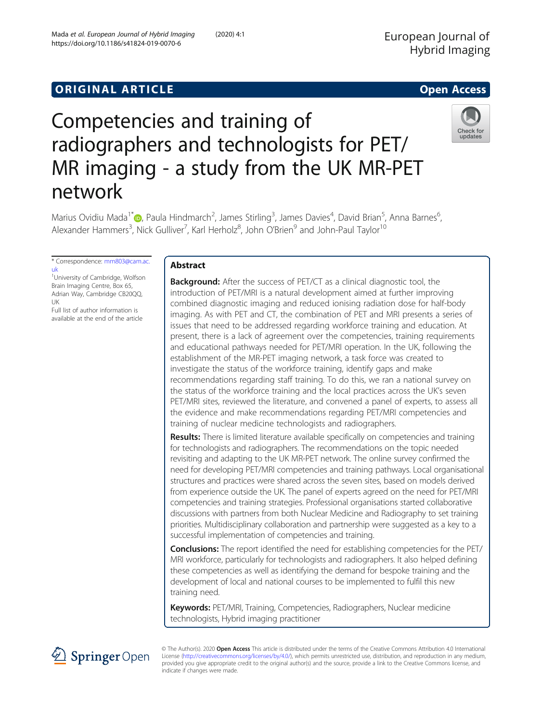,



# Competencies and training of radiographers and technologists for PET/ MR imaging - a study from the UK MR-PET network

Marius Ovidiu Mada<sup>1[\\*](http://orcid.org/0000-0002-9903-3835)</sup>i D, Paula Hindmarch<sup>2</sup>, James Stirling<sup>3</sup>, James Davies<sup>4</sup>, David Brian<sup>5</sup>, Anna Barnes<sup>6</sup> Alexander Hammers<sup>3</sup>, Nick Gulliver<sup>7</sup>, Karl Herholz<sup>8</sup>, John O'Brien<sup>9</sup> and John-Paul Taylor<sup>10</sup>

\* Correspondence: [mm803@cam.ac.](mailto:mm803@cam.ac.uk) [uk](mailto:mm803@cam.ac.uk)

<sup>1</sup>University of Cambridge, Wolfson Brain Imaging Centre, Box 65, Adrian Way, Cambridge CB20QQ, UK

Full list of author information is available at the end of the article

# Abstract

**Background:** After the success of PET/CT as a clinical diagnostic tool, the introduction of PET/MRI is a natural development aimed at further improving combined diagnostic imaging and reduced ionising radiation dose for half-body imaging. As with PET and CT, the combination of PET and MRI presents a series of issues that need to be addressed regarding workforce training and education. At present, there is a lack of agreement over the competencies, training requirements and educational pathways needed for PET/MRI operation. In the UK, following the establishment of the MR-PET imaging network, a task force was created to investigate the status of the workforce training, identify gaps and make recommendations regarding staff training. To do this, we ran a national survey on the status of the workforce training and the local practices across the UK's seven PET/MRI sites, reviewed the literature, and convened a panel of experts, to assess all the evidence and make recommendations regarding PET/MRI competencies and training of nuclear medicine technologists and radiographers.

**Results:** There is limited literature available specifically on competencies and training for technologists and radiographers. The recommendations on the topic needed revisiting and adapting to the UK MR-PET network. The online survey confirmed the need for developing PET/MRI competencies and training pathways. Local organisational structures and practices were shared across the seven sites, based on models derived from experience outside the UK. The panel of experts agreed on the need for PET/MRI competencies and training strategies. Professional organisations started collaborative discussions with partners from both Nuclear Medicine and Radiography to set training priorities. Multidisciplinary collaboration and partnership were suggested as a key to a successful implementation of competencies and training.

Conclusions: The report identified the need for establishing competencies for the PET/ MRI workforce, particularly for technologists and radiographers. It also helped defining these competencies as well as identifying the demand for bespoke training and the development of local and national courses to be implemented to fulfil this new training need.

Keywords: PET/MRI, Training, Competencies, Radiographers, Nuclear medicine technologists, Hybrid imaging practitioner



© The Author(s). 2020 Open Access This article is distributed under the terms of the Creative Commons Attribution 4.0 International License [\(http://creativecommons.org/licenses/by/4.0/](http://creativecommons.org/licenses/by/4.0/)), which permits unrestricted use, distribution, and reproduction in any medium, provided you give appropriate credit to the original author(s) and the source, provide a link to the Creative Commons license, and indicate if changes were made.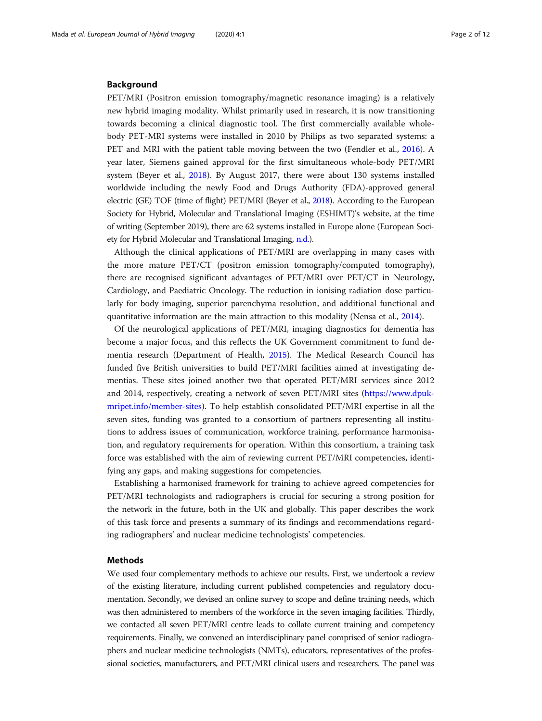## Background

PET/MRI (Positron emission tomography/magnetic resonance imaging) is a relatively new hybrid imaging modality. Whilst primarily used in research, it is now transitioning towards becoming a clinical diagnostic tool. The first commercially available wholebody PET-MRI systems were installed in 2010 by Philips as two separated systems: a PET and MRI with the patient table moving between the two (Fendler et al., [2016\)](#page-11-0). A year later, Siemens gained approval for the first simultaneous whole-body PET/MRI system (Beyer et al., [2018](#page-11-0)). By August 2017, there were about 130 systems installed worldwide including the newly Food and Drugs Authority (FDA)-approved general electric (GE) TOF (time of flight) PET/MRI (Beyer et al., [2018](#page-11-0)). According to the European Society for Hybrid, Molecular and Translational Imaging (ESHIMT)'s website, at the time of writing (September 2019), there are 62 systems installed in Europe alone (European Society for Hybrid Molecular and Translational Imaging, [n.d.\)](#page-11-0).

Although the clinical applications of PET/MRI are overlapping in many cases with the more mature PET/CT (positron emission tomography/computed tomography), there are recognised significant advantages of PET/MRI over PET/CT in Neurology, Cardiology, and Paediatric Oncology. The reduction in ionising radiation dose particularly for body imaging, superior parenchyma resolution, and additional functional and quantitative information are the main attraction to this modality (Nensa et al., [2014\)](#page-11-0).

Of the neurological applications of PET/MRI, imaging diagnostics for dementia has become a major focus, and this reflects the UK Government commitment to fund dementia research (Department of Health, [2015](#page-11-0)). The Medical Research Council has funded five British universities to build PET/MRI facilities aimed at investigating dementias. These sites joined another two that operated PET/MRI services since 2012 and 2014, respectively, creating a network of seven PET/MRI sites ([https://www.dpuk](https://www.dpuk-mripet.info/member-sites)[mripet.info/member-sites\)](https://www.dpuk-mripet.info/member-sites). To help establish consolidated PET/MRI expertise in all the seven sites, funding was granted to a consortium of partners representing all institutions to address issues of communication, workforce training, performance harmonisation, and regulatory requirements for operation. Within this consortium, a training task force was established with the aim of reviewing current PET/MRI competencies, identifying any gaps, and making suggestions for competencies.

Establishing a harmonised framework for training to achieve agreed competencies for PET/MRI technologists and radiographers is crucial for securing a strong position for the network in the future, both in the UK and globally. This paper describes the work of this task force and presents a summary of its findings and recommendations regarding radiographers' and nuclear medicine technologists' competencies.

# Methods

We used four complementary methods to achieve our results. First, we undertook a review of the existing literature, including current published competencies and regulatory documentation. Secondly, we devised an online survey to scope and define training needs, which was then administered to members of the workforce in the seven imaging facilities. Thirdly, we contacted all seven PET/MRI centre leads to collate current training and competency requirements. Finally, we convened an interdisciplinary panel comprised of senior radiographers and nuclear medicine technologists (NMTs), educators, representatives of the professional societies, manufacturers, and PET/MRI clinical users and researchers. The panel was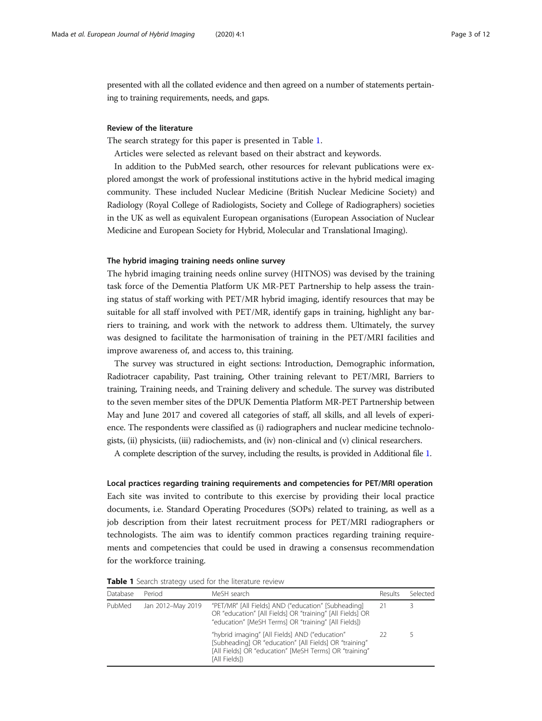presented with all the collated evidence and then agreed on a number of statements pertaining to training requirements, needs, and gaps.

# Review of the literature

The search strategy for this paper is presented in Table 1.

Articles were selected as relevant based on their abstract and keywords.

In addition to the PubMed search, other resources for relevant publications were explored amongst the work of professional institutions active in the hybrid medical imaging community. These included Nuclear Medicine (British Nuclear Medicine Society) and Radiology (Royal College of Radiologists, Society and College of Radiographers) societies in the UK as well as equivalent European organisations (European Association of Nuclear Medicine and European Society for Hybrid, Molecular and Translational Imaging).

### The hybrid imaging training needs online survey

The hybrid imaging training needs online survey (HITNOS) was devised by the training task force of the Dementia Platform UK MR-PET Partnership to help assess the training status of staff working with PET/MR hybrid imaging, identify resources that may be suitable for all staff involved with PET/MR, identify gaps in training, highlight any barriers to training, and work with the network to address them. Ultimately, the survey was designed to facilitate the harmonisation of training in the PET/MRI facilities and improve awareness of, and access to, this training.

The survey was structured in eight sections: Introduction, Demographic information, Radiotracer capability, Past training, Other training relevant to PET/MRI, Barriers to training, Training needs, and Training delivery and schedule. The survey was distributed to the seven member sites of the DPUK Dementia Platform MR-PET Partnership between May and June 2017 and covered all categories of staff, all skills, and all levels of experience. The respondents were classified as (i) radiographers and nuclear medicine technologists, (ii) physicists, (iii) radiochemists, and (iv) non-clinical and (v) clinical researchers.

A complete description of the survey, including the results, is provided in Additional file [1](#page-10-0).

Local practices regarding training requirements and competencies for PET/MRI operation Each site was invited to contribute to this exercise by providing their local practice documents, i.e. Standard Operating Procedures (SOPs) related to training, as well as a job description from their latest recruitment process for PET/MRI radiographers or technologists. The aim was to identify common practices regarding training requirements and competencies that could be used in drawing a consensus recommendation for the workforce training.

| Database | Period            | MeSH search                                                                                                                                                                         | Results | Selected |
|----------|-------------------|-------------------------------------------------------------------------------------------------------------------------------------------------------------------------------------|---------|----------|
| PubMed   | Jan 2012-May 2019 | "PET/MR" [All Fields] AND ("education" [Subheading]<br>OR "education" [All Fields] OR "training" [All Fields] OR<br>"education" [MeSH Terms] OR "training" [All Fields])            |         |          |
|          |                   | "hybrid imaging" [All Fields] AND ("education"<br>[Subheading] OR "education" [All Fields] OR "training"<br>[All Fields] OR "education" [MeSH Terms] OR "training"<br>[All Fields]) |         |          |

Table 1 Search strategy used for the literature review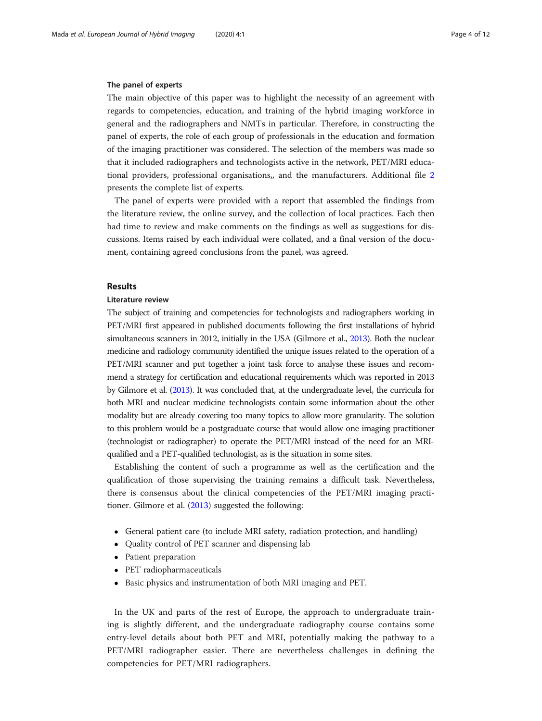### The panel of experts

The main objective of this paper was to highlight the necessity of an agreement with regards to competencies, education, and training of the hybrid imaging workforce in general and the radiographers and NMTs in particular. Therefore, in constructing the panel of experts, the role of each group of professionals in the education and formation of the imaging practitioner was considered. The selection of the members was made so that it included radiographers and technologists active in the network, PET/MRI educational providers, professional organisations,, and the manufacturers. Additional file [2](#page-10-0) presents the complete list of experts.

The panel of experts were provided with a report that assembled the findings from the literature review, the online survey, and the collection of local practices. Each then had time to review and make comments on the findings as well as suggestions for discussions. Items raised by each individual were collated, and a final version of the document, containing agreed conclusions from the panel, was agreed.

# Results

# Literature review

The subject of training and competencies for technologists and radiographers working in PET/MRI first appeared in published documents following the first installations of hybrid simultaneous scanners in 2012, initially in the USA (Gilmore et al., [2013\)](#page-11-0). Both the nuclear medicine and radiology community identified the unique issues related to the operation of a PET/MRI scanner and put together a joint task force to analyse these issues and recommend a strategy for certification and educational requirements which was reported in 2013 by Gilmore et al. ([2013](#page-11-0)). It was concluded that, at the undergraduate level, the curricula for both MRI and nuclear medicine technologists contain some information about the other modality but are already covering too many topics to allow more granularity. The solution to this problem would be a postgraduate course that would allow one imaging practitioner (technologist or radiographer) to operate the PET/MRI instead of the need for an MRIqualified and a PET-qualified technologist, as is the situation in some sites.

Establishing the content of such a programme as well as the certification and the qualification of those supervising the training remains a difficult task. Nevertheless, there is consensus about the clinical competencies of the PET/MRI imaging practitioner. Gilmore et al. [\(2013](#page-11-0)) suggested the following:

- General patient care (to include MRI safety, radiation protection, and handling)
- Quality control of PET scanner and dispensing lab
- Patient preparation
- PET radiopharmaceuticals
- Basic physics and instrumentation of both MRI imaging and PET.

In the UK and parts of the rest of Europe, the approach to undergraduate training is slightly different, and the undergraduate radiography course contains some entry-level details about both PET and MRI, potentially making the pathway to a PET/MRI radiographer easier. There are nevertheless challenges in defining the competencies for PET/MRI radiographers.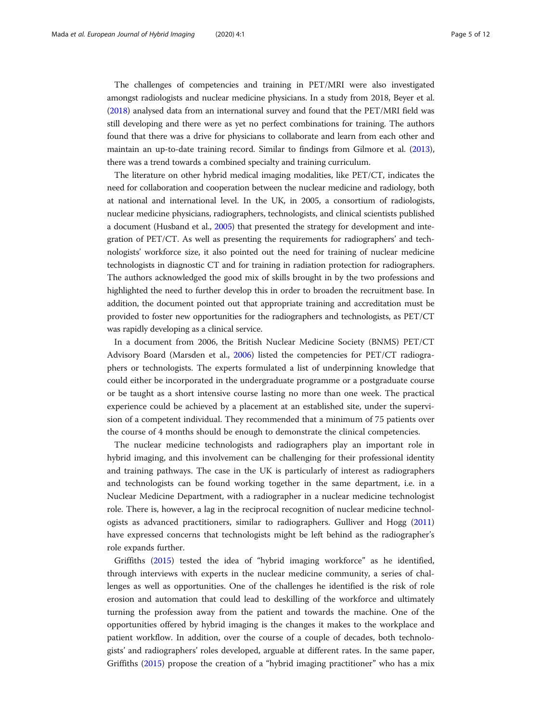The challenges of competencies and training in PET/MRI were also investigated amongst radiologists and nuclear medicine physicians. In a study from 2018, Beyer et al. ([2018\)](#page-11-0) analysed data from an international survey and found that the PET/MRI field was still developing and there were as yet no perfect combinations for training. The authors found that there was a drive for physicians to collaborate and learn from each other and maintain an up-to-date training record. Similar to findings from Gilmore et al. [\(2013](#page-11-0)), there was a trend towards a combined specialty and training curriculum.

The literature on other hybrid medical imaging modalities, like PET/CT, indicates the need for collaboration and cooperation between the nuclear medicine and radiology, both at national and international level. In the UK, in 2005, a consortium of radiologists, nuclear medicine physicians, radiographers, technologists, and clinical scientists published a document (Husband et al., [2005\)](#page-11-0) that presented the strategy for development and integration of PET/CT. As well as presenting the requirements for radiographers' and technologists' workforce size, it also pointed out the need for training of nuclear medicine technologists in diagnostic CT and for training in radiation protection for radiographers. The authors acknowledged the good mix of skills brought in by the two professions and highlighted the need to further develop this in order to broaden the recruitment base. In addition, the document pointed out that appropriate training and accreditation must be provided to foster new opportunities for the radiographers and technologists, as PET/CT was rapidly developing as a clinical service.

In a document from 2006, the British Nuclear Medicine Society (BNMS) PET/CT Advisory Board (Marsden et al., [2006](#page-11-0)) listed the competencies for PET/CT radiographers or technologists. The experts formulated a list of underpinning knowledge that could either be incorporated in the undergraduate programme or a postgraduate course or be taught as a short intensive course lasting no more than one week. The practical experience could be achieved by a placement at an established site, under the supervision of a competent individual. They recommended that a minimum of 75 patients over the course of 4 months should be enough to demonstrate the clinical competencies.

The nuclear medicine technologists and radiographers play an important role in hybrid imaging, and this involvement can be challenging for their professional identity and training pathways. The case in the UK is particularly of interest as radiographers and technologists can be found working together in the same department, i.e. in a Nuclear Medicine Department, with a radiographer in a nuclear medicine technologist role. There is, however, a lag in the reciprocal recognition of nuclear medicine technologists as advanced practitioners, similar to radiographers. Gulliver and Hogg ([2011](#page-11-0)) have expressed concerns that technologists might be left behind as the radiographer's role expands further.

Griffiths ([2015](#page-11-0)) tested the idea of "hybrid imaging workforce" as he identified, through interviews with experts in the nuclear medicine community, a series of challenges as well as opportunities. One of the challenges he identified is the risk of role erosion and automation that could lead to deskilling of the workforce and ultimately turning the profession away from the patient and towards the machine. One of the opportunities offered by hybrid imaging is the changes it makes to the workplace and patient workflow. In addition, over the course of a couple of decades, both technologists' and radiographers' roles developed, arguable at different rates. In the same paper, Griffiths [\(2015\)](#page-11-0) propose the creation of a "hybrid imaging practitioner" who has a mix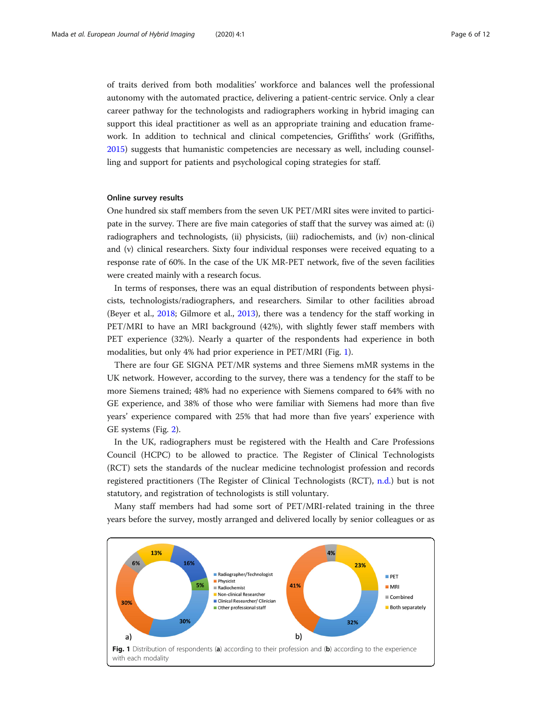of traits derived from both modalities' workforce and balances well the professional autonomy with the automated practice, delivering a patient-centric service. Only a clear career pathway for the technologists and radiographers working in hybrid imaging can support this ideal practitioner as well as an appropriate training and education framework. In addition to technical and clinical competencies, Griffiths' work (Griffiths, [2015](#page-11-0)) suggests that humanistic competencies are necessary as well, including counselling and support for patients and psychological coping strategies for staff.

# Online survey results

One hundred six staff members from the seven UK PET/MRI sites were invited to participate in the survey. There are five main categories of staff that the survey was aimed at: (i) radiographers and technologists, (ii) physicists, (iii) radiochemists, and (iv) non-clinical and (v) clinical researchers. Sixty four individual responses were received equating to a response rate of 60%. In the case of the UK MR-PET network, five of the seven facilities were created mainly with a research focus.

In terms of responses, there was an equal distribution of respondents between physicists, technologists/radiographers, and researchers. Similar to other facilities abroad (Beyer et al., [2018](#page-11-0); Gilmore et al., [2013\)](#page-11-0), there was a tendency for the staff working in PET/MRI to have an MRI background (42%), with slightly fewer staff members with PET experience (32%). Nearly a quarter of the respondents had experience in both modalities, but only 4% had prior experience in PET/MRI (Fig. 1).

There are four GE SIGNA PET/MR systems and three Siemens mMR systems in the UK network. However, according to the survey, there was a tendency for the staff to be more Siemens trained; 48% had no experience with Siemens compared to 64% with no GE experience, and 38% of those who were familiar with Siemens had more than five years' experience compared with 25% that had more than five years' experience with GE systems (Fig. [2](#page-6-0)).

In the UK, radiographers must be registered with the Health and Care Professions Council (HCPC) to be allowed to practice. The Register of Clinical Technologists (RCT) sets the standards of the nuclear medicine technologist profession and records registered practitioners (The Register of Clinical Technologists (RCT), [n.d.\)](#page-11-0) but is not statutory, and registration of technologists is still voluntary.

Many staff members had had some sort of PET/MRI-related training in the three years before the survey, mostly arranged and delivered locally by senior colleagues or as

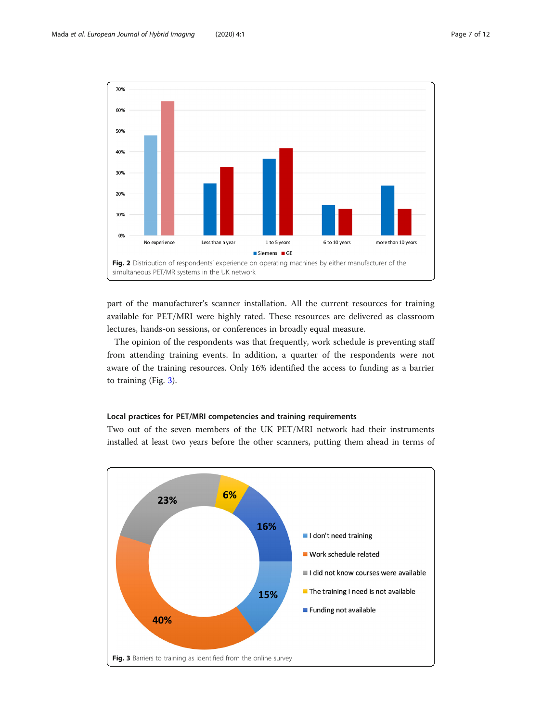<span id="page-6-0"></span>

part of the manufacturer's scanner installation. All the current resources for training available for PET/MRI were highly rated. These resources are delivered as classroom lectures, hands-on sessions, or conferences in broadly equal measure.

The opinion of the respondents was that frequently, work schedule is preventing staff from attending training events. In addition, a quarter of the respondents were not aware of the training resources. Only 16% identified the access to funding as a barrier to training (Fig. 3).

# Local practices for PET/MRI competencies and training requirements

Two out of the seven members of the UK PET/MRI network had their instruments installed at least two years before the other scanners, putting them ahead in terms of

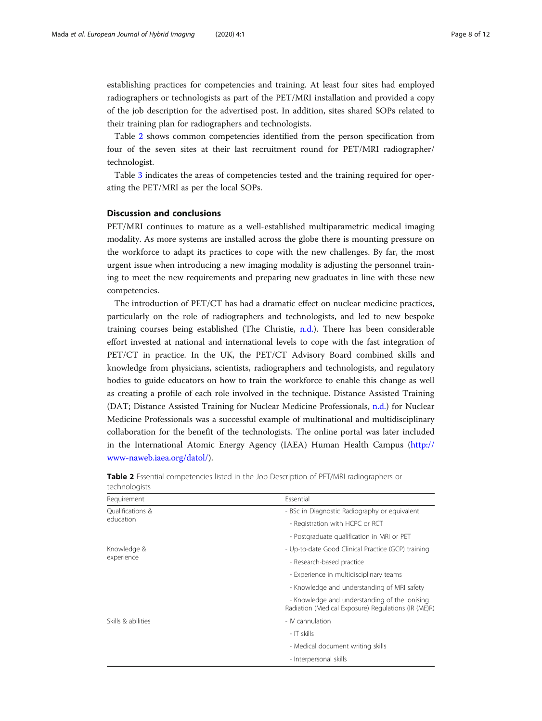establishing practices for competencies and training. At least four sites had employed radiographers or technologists as part of the PET/MRI installation and provided a copy of the job description for the advertised post. In addition, sites shared SOPs related to their training plan for radiographers and technologists.

Table 2 shows common competencies identified from the person specification from four of the seven sites at their last recruitment round for PET/MRI radiographer/ technologist.

Table [3](#page-8-0) indicates the areas of competencies tested and the training required for operating the PET/MRI as per the local SOPs.

# Discussion and conclusions

PET/MRI continues to mature as a well-established multiparametric medical imaging modality. As more systems are installed across the globe there is mounting pressure on the workforce to adapt its practices to cope with the new challenges. By far, the most urgent issue when introducing a new imaging modality is adjusting the personnel training to meet the new requirements and preparing new graduates in line with these new competencies.

The introduction of PET/CT has had a dramatic effect on nuclear medicine practices, particularly on the role of radiographers and technologists, and led to new bespoke training courses being established (The Christie, [n.d.\)](#page-11-0). There has been considerable effort invested at national and international levels to cope with the fast integration of PET/CT in practice. In the UK, the PET/CT Advisory Board combined skills and knowledge from physicians, scientists, radiographers and technologists, and regulatory bodies to guide educators on how to train the workforce to enable this change as well as creating a profile of each role involved in the technique. Distance Assisted Training (DAT; Distance Assisted Training for Nuclear Medicine Professionals, [n.d.](#page-11-0)) for Nuclear Medicine Professionals was a successful example of multinational and multidisciplinary collaboration for the benefit of the technologists. The online portal was later included in the International Atomic Energy Agency (IAEA) Human Health Campus [\(http://](http://www-naweb.iaea.org/datol/) [www-naweb.iaea.org/datol/](http://www-naweb.iaea.org/datol/)).

| Requirement        | Essential                                                                                            |
|--------------------|------------------------------------------------------------------------------------------------------|
| Oualifications &   | - BSc in Diagnostic Radiography or equivalent                                                        |
| education          | - Registration with HCPC or RCT                                                                      |
|                    | - Postgraduate qualification in MRI or PET                                                           |
| Knowledge &        | - Up-to-date Good Clinical Practice (GCP) training                                                   |
| experience         | - Research-based practice                                                                            |
|                    | - Experience in multidisciplinary teams                                                              |
|                    | - Knowledge and understanding of MRI safety                                                          |
|                    | - Knowledge and understanding of the lonising<br>Radiation (Medical Exposure) Regulations (IR (ME)R) |
| Skills & abilities | - IV cannulation                                                                                     |
|                    | - IT skills                                                                                          |
|                    | - Medical document writing skills                                                                    |
|                    | - Interpersonal skills                                                                               |

|               | <b>Table 2</b> Essential competencies listed in the Job Description of PET/MRI radiographers or |  |  |  |  |
|---------------|-------------------------------------------------------------------------------------------------|--|--|--|--|
| technologists |                                                                                                 |  |  |  |  |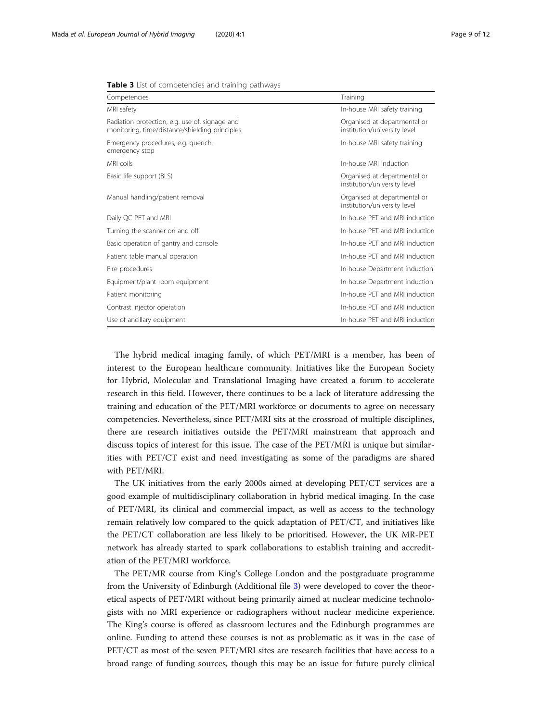| Competencies                                                                                     | Training                                                     |
|--------------------------------------------------------------------------------------------------|--------------------------------------------------------------|
| MRI safety                                                                                       | In-house MRI safety training                                 |
| Radiation protection, e.g. use of, signage and<br>monitoring, time/distance/shielding principles | Organised at departmental or<br>institution/university level |
| Emergency procedures, e.g. quench,<br>emergency stop                                             | In-house MRI safety training                                 |
| MRI coils                                                                                        | In-house MRI induction                                       |
| Basic life support (BLS)                                                                         | Organised at departmental or<br>institution/university level |
| Manual handling/patient removal                                                                  | Organised at departmental or<br>institution/university level |
| Daily QC PET and MRI                                                                             | In-house PFT and MRI induction                               |
| Turning the scanner on and off                                                                   | In-house PFT and MRI induction                               |
| Basic operation of gantry and console                                                            | In-house PFT and MRI induction                               |
| Patient table manual operation                                                                   | In-house PFT and MRI induction                               |
| Fire procedures                                                                                  | In-house Department induction                                |
| Equipment/plant room equipment                                                                   | In-house Department induction                                |
| Patient monitoring                                                                               | In-house PET and MRI induction                               |
| Contrast injector operation                                                                      | In-house PET and MRI induction                               |
| Use of ancillary equipment                                                                       | In-house PET and MRI induction                               |

<span id="page-8-0"></span>

|  |  |  |  |  | <b>Table 3</b> List of competencies and training pathways |  |  |  |
|--|--|--|--|--|-----------------------------------------------------------|--|--|--|
|--|--|--|--|--|-----------------------------------------------------------|--|--|--|

The hybrid medical imaging family, of which PET/MRI is a member, has been of interest to the European healthcare community. Initiatives like the European Society for Hybrid, Molecular and Translational Imaging have created a forum to accelerate research in this field. However, there continues to be a lack of literature addressing the training and education of the PET/MRI workforce or documents to agree on necessary competencies. Nevertheless, since PET/MRI sits at the crossroad of multiple disciplines, there are research initiatives outside the PET/MRI mainstream that approach and discuss topics of interest for this issue. The case of the PET/MRI is unique but similarities with PET/CT exist and need investigating as some of the paradigms are shared with PET/MRI.

The UK initiatives from the early 2000s aimed at developing PET/CT services are a good example of multidisciplinary collaboration in hybrid medical imaging. In the case of PET/MRI, its clinical and commercial impact, as well as access to the technology remain relatively low compared to the quick adaptation of PET/CT, and initiatives like the PET/CT collaboration are less likely to be prioritised. However, the UK MR-PET network has already started to spark collaborations to establish training and accreditation of the PET/MRI workforce.

The PET/MR course from King's College London and the postgraduate programme from the University of Edinburgh (Additional file [3\)](#page-10-0) were developed to cover the theoretical aspects of PET/MRI without being primarily aimed at nuclear medicine technologists with no MRI experience or radiographers without nuclear medicine experience. The King's course is offered as classroom lectures and the Edinburgh programmes are online. Funding to attend these courses is not as problematic as it was in the case of PET/CT as most of the seven PET/MRI sites are research facilities that have access to a broad range of funding sources, though this may be an issue for future purely clinical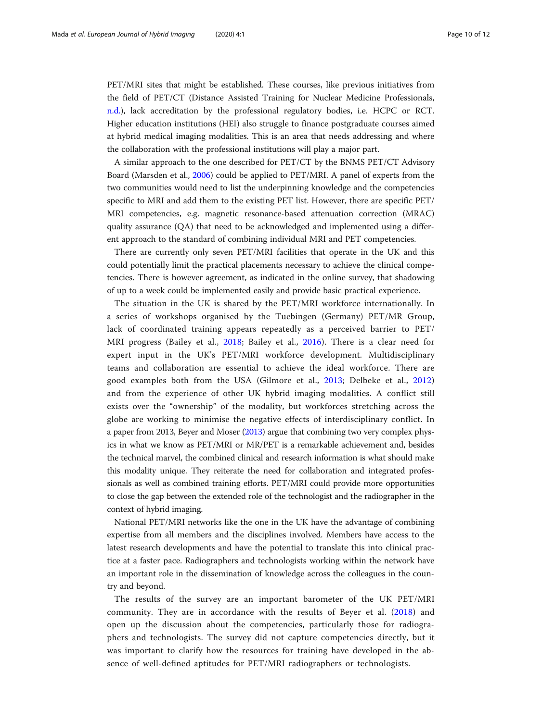PET/MRI sites that might be established. These courses, like previous initiatives from the field of PET/CT (Distance Assisted Training for Nuclear Medicine Professionals, [n.d.\)](#page-11-0), lack accreditation by the professional regulatory bodies, i.e. HCPC or RCT. Higher education institutions (HEI) also struggle to finance postgraduate courses aimed at hybrid medical imaging modalities. This is an area that needs addressing and where the collaboration with the professional institutions will play a major part.

A similar approach to the one described for PET/CT by the BNMS PET/CT Advisory Board (Marsden et al., [2006](#page-11-0)) could be applied to PET/MRI. A panel of experts from the two communities would need to list the underpinning knowledge and the competencies specific to MRI and add them to the existing PET list. However, there are specific PET/ MRI competencies, e.g. magnetic resonance-based attenuation correction (MRAC) quality assurance (QA) that need to be acknowledged and implemented using a different approach to the standard of combining individual MRI and PET competencies.

There are currently only seven PET/MRI facilities that operate in the UK and this could potentially limit the practical placements necessary to achieve the clinical competencies. There is however agreement, as indicated in the online survey, that shadowing of up to a week could be implemented easily and provide basic practical experience.

The situation in the UK is shared by the PET/MRI workforce internationally. In a series of workshops organised by the Tuebingen (Germany) PET/MR Group, lack of coordinated training appears repeatedly as a perceived barrier to PET/ MRI progress (Bailey et al., [2018;](#page-11-0) Bailey et al., [2016](#page-11-0)). There is a clear need for expert input in the UK's PET/MRI workforce development. Multidisciplinary teams and collaboration are essential to achieve the ideal workforce. There are good examples both from the USA (Gilmore et al., [2013;](#page-11-0) Delbeke et al., [2012](#page-11-0)) and from the experience of other UK hybrid imaging modalities. A conflict still exists over the "ownership" of the modality, but workforces stretching across the globe are working to minimise the negative effects of interdisciplinary conflict. In a paper from 2013, Beyer and Moser [\(2013](#page-11-0)) argue that combining two very complex physics in what we know as PET/MRI or MR/PET is a remarkable achievement and, besides the technical marvel, the combined clinical and research information is what should make this modality unique. They reiterate the need for collaboration and integrated professionals as well as combined training efforts. PET/MRI could provide more opportunities to close the gap between the extended role of the technologist and the radiographer in the context of hybrid imaging.

National PET/MRI networks like the one in the UK have the advantage of combining expertise from all members and the disciplines involved. Members have access to the latest research developments and have the potential to translate this into clinical practice at a faster pace. Radiographers and technologists working within the network have an important role in the dissemination of knowledge across the colleagues in the country and beyond.

The results of the survey are an important barometer of the UK PET/MRI community. They are in accordance with the results of Beyer et al. [\(2018\)](#page-11-0) and open up the discussion about the competencies, particularly those for radiographers and technologists. The survey did not capture competencies directly, but it was important to clarify how the resources for training have developed in the absence of well-defined aptitudes for PET/MRI radiographers or technologists.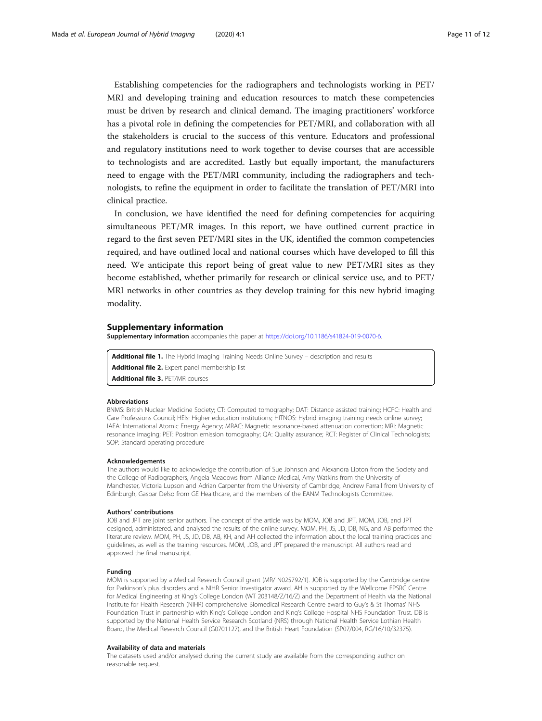<span id="page-10-0"></span>Establishing competencies for the radiographers and technologists working in PET/ MRI and developing training and education resources to match these competencies must be driven by research and clinical demand. The imaging practitioners' workforce has a pivotal role in defining the competencies for PET/MRI, and collaboration with all the stakeholders is crucial to the success of this venture. Educators and professional and regulatory institutions need to work together to devise courses that are accessible to technologists and are accredited. Lastly but equally important, the manufacturers need to engage with the PET/MRI community, including the radiographers and technologists, to refine the equipment in order to facilitate the translation of PET/MRI into clinical practice.

In conclusion, we have identified the need for defining competencies for acquiring simultaneous PET/MR images. In this report, we have outlined current practice in regard to the first seven PET/MRI sites in the UK, identified the common competencies required, and have outlined local and national courses which have developed to fill this need. We anticipate this report being of great value to new PET/MRI sites as they become established, whether primarily for research or clinical service use, and to PET/ MRI networks in other countries as they develop training for this new hybrid imaging modality.

## Supplementary information

Supplementary information accompanies this paper at [https://doi.org/10.1186/s41824-019-0070-6.](https://doi.org/10.1186/s41824-019-0070-6)

Additional file 1. The Hybrid Imaging Training Needs Online Survey - description and results

- Additional file 2. Expert panel membership list
- Additional file 3. PET/MR courses

#### Abbreviations

BNMS: British Nuclear Medicine Society; CT: Computed tomography; DAT: Distance assisted training; HCPC: Health and Care Professions Council; HEIs: Higher education institutions; HITNOS: Hybrid imaging training needs online survey; IAEA: International Atomic Energy Agency; MRAC: Magnetic resonance-based attenuation correction; MRI: Magnetic resonance imaging; PET: Positron emission tomography; QA: Quality assurance; RCT: Register of Clinical Technologists; SOP: Standard operating procedure

#### Acknowledgements

The authors would like to acknowledge the contribution of Sue Johnson and Alexandra Lipton from the Society and the College of Radiographers, Angela Meadows from Alliance Medical, Amy Watkins from the University of Manchester, Victoria Lupson and Adrian Carpenter from the University of Cambridge, Andrew Farrall from University of Edinburgh, Gaspar Delso from GE Healthcare, and the members of the EANM Technologists Committee.

#### Authors' contributions

JOB and JPT are joint senior authors. The concept of the article was by MOM, JOB and JPT. MOM, JOB, and JPT designed, administered, and analysed the results of the online survey. MOM, PH, JS, JD, DB, NG, and AB performed the literature review. MOM, PH, JS, JD, DB, AB, KH, and AH collected the information about the local training practices and guidelines, as well as the training resources. MOM, JOB, and JPT prepared the manuscript. All authors read and approved the final manuscript.

#### Funding

MOM is supported by a Medical Research Council grant (MR/ N025792/1). JOB is supported by the Cambridge centre for Parkinson's plus disorders and a NIHR Senior Investigator award. AH is supported by the Wellcome EPSRC Centre for Medical Engineering at King's College London (WT 203148/Z/16/Z) and the Department of Health via the National Institute for Health Research (NIHR) comprehensive Biomedical Research Centre award to Guy's & St Thomas' NHS Foundation Trust in partnership with King's College London and King's College Hospital NHS Foundation Trust. DB is supported by the National Health Service Research Scotland (NRS) through National Health Service Lothian Health Board, the Medical Research Council (G0701127), and the British Heart Foundation (SP07/004, RG/16/10/32375).

#### Availability of data and materials

The datasets used and/or analysed during the current study are available from the corresponding author on reasonable request.